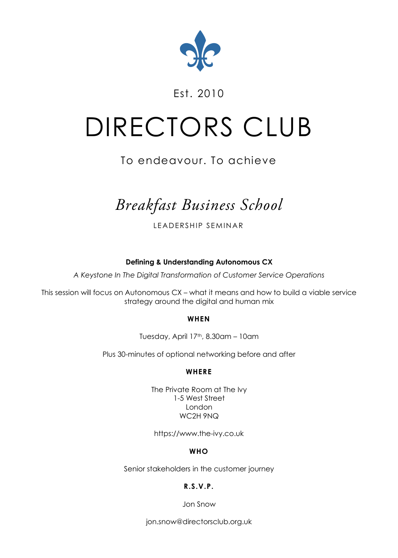

### Est. 2010

# DIRECTORS CLUB

## To endeavour. To achieve

# *Breakfast Business School*

LEADERSHIP SEMINAR

**Defining & Understanding Autonomous CX**

*A Keystone In The Digital Transformation of Customer Service Operations*

This session will focus on Autonomous CX – what it means and how to build a viable service strategy around the digital and human mix

#### **WHEN**

Tuesday, April 17th, 8.30am - 10am

Plus 30-minutes of optional networking before and after

#### **WHERE**

The Private Room at The Ivy 1-5 West Street London WC2H 9NQ

https://www.the-ivy.co.uk

#### **WHO**

Senior stakeholders in the customer journey

#### **R.S.V.P.**

Jon Snow

jon.snow@directorsclub.org.uk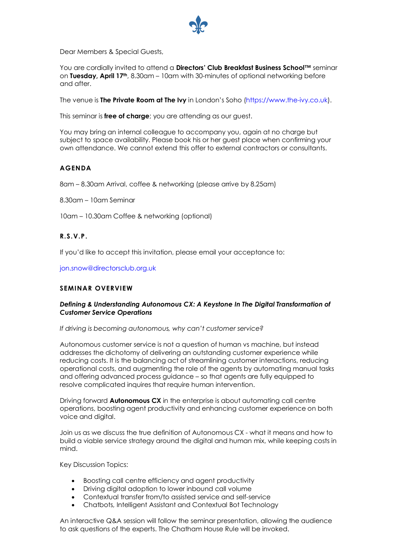

Dear Members & Special Guests,

You are cordially invited to attend a **Directors' Club Breakfast Business School™** seminar on **Tuesday, April 17th**, 8.30am – 10am with 30-minutes of optional networking before and after.

The venue is **The Private Room at The Ivy** in London's Soho (https://www.the-ivy.co.uk).

This seminar is **free of charge**; you are attending as our quest.

You may bring an internal colleague to accompany you, again at no charge but subject to space availability. Please book his or her guest place when confirming your own attendance. We cannot extend this offer to external contractors or consultants.

#### **AGENDA**

8am – 8.30am Arrival, coffee & networking (please arrive by 8.25am)

8.30am – 10am Seminar

10am – 10.30am Coffee & networking (optional)

#### **R.S.V.P.**

If you'd like to accept this invitation, please email your acceptance to:

jon.snow@directorsclub.org.uk

#### **SEMINAR OVERVIEW**

#### *Defining & Understanding Autonomous CX: A Keystone In The Digital Transformation of Customer Service Operations*

*If driving is becoming autonomous, why can't customer service?*

Autonomous customer service is not a question of human vs machine, but instead addresses the dichotomy of delivering an outstanding customer experience while reducing costs. It is the balancing act of streamlining customer interactions, reducing operational costs, and augmenting the role of the agents by automating manual tasks and offering advanced process guidance – so that agents are fully equipped to resolve complicated inquires that require human intervention.

Driving forward **Autonomous CX** in the enterprise is about automating call centre operations, boosting agent productivity and enhancing customer experience on both voice and digital.

Join us as we discuss the true definition of Autonomous CX - what it means and how to build a viable service strategy around the digital and human mix, while keeping costs in mind.

Key Discussion Topics:

- Boosting call centre efficiency and agent productivity
- Driving digital adoption to lower inbound call volume
- Contextual transfer from/to assisted service and self-service
- Chatbots, Intelligent Assistant and Contextual Bot Technology

An interactive Q&A session will follow the seminar presentation, allowing the audience to ask questions of the experts. The Chatham House Rule will be invoked.